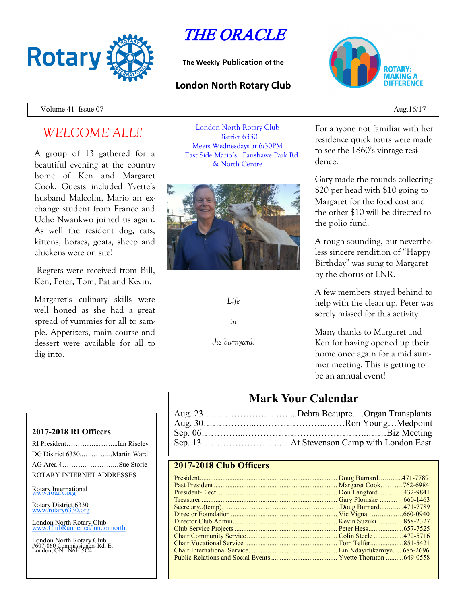

THE ORACLE

**The Weekly Publication of the**

### **London North Rotary Club**



Volume 41 Issue  $07$  Aug.16/17

# *WELCOME ALL!!*

A group of 13 gathered for a beautiful evening at the country home of Ken and Margaret Cook. Guests included Yvette's husband Malcolm, Mario an exchange student from France and Uche Nwankwo joined us again. As well the resident dog, cats, kittens, horses, goats, sheep and chickens were on site!

Regrets were received from Bill, Ken, Peter, Tom, Pat and Kevin.

Margaret's culinary skills were well honed as she had a great spread of yummies for all to sample. Appetizers, main course and dessert were available for all to dig into.

London North Rotary Club District 6330 Meets Wednesdays at 6:30PM East Side Mario's Fanshawe Park Rd. & North Centre



*Life* 

*in*

*the barnyard!*

For anyone not familiar with her residence quick tours were made to see the 1860's vintage residence.

Gary made the rounds collecting \$20 per head with \$10 going to Margaret for the food cost and the other \$10 will be directed to the polio fund.

A rough sounding, but nevertheless sincere rendition of "Happy Birthday" was sung to Margaret by the chorus of LNR.

A few members stayed behind to help with the clean up. Peter was sorely missed for this activity!

Many thanks to Margaret and Ken for having opened up their home once again for a mid summer meeting. This is getting to be an annual event!

## **Mark Your Calendar**

| Aug. 23Debra BeaupreOrgan Transplants |
|---------------------------------------|
|                                       |
|                                       |
|                                       |

#### **2017-2018 Club Officers**

**2017-2018 RI Officers**

| RI PresidentIan Riseley   |  |
|---------------------------|--|
|                           |  |
|                           |  |
| ROTARY INTERNET ADDRESSES |  |

#### Rotary International

Rotary District 6330 [www.rotary6330.org](http://www.rotary6330.org/)

London North Rotary Club IubRunner.ca/londonnorth

London North Rotary Club #607-860 Commissioners Rd. E. London, ON N6H 5C4